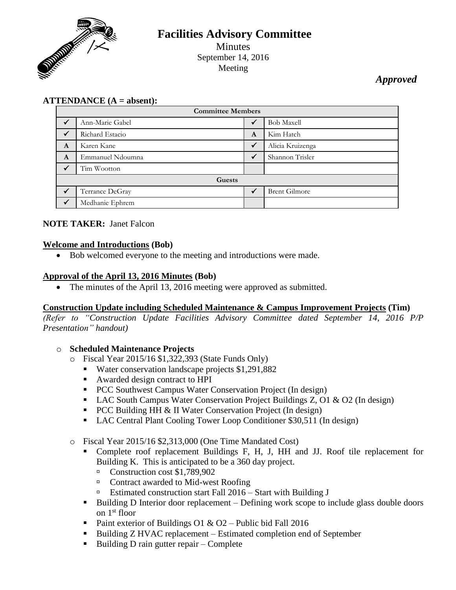

# **Facilities Advisory Committee** Minutes September 14, 2016 Meeting

# *Approved*

# **ATTENDANCE (A = absent):**

| <b>Committee Members</b> |                  |              |                      |
|--------------------------|------------------|--------------|----------------------|
| $\checkmark$             | Ann-Marie Gabel  |              | <b>Bob Maxell</b>    |
| $\checkmark$             | Richard Estacio  | A            | Kim Hatch            |
| A                        | Karen Kane       | ✔            | Alicia Kruizenga     |
| A                        | Emmanuel Ndoumna | $\checkmark$ | Shannon Trisler      |
| $\checkmark$             | Tim Wootton      |              |                      |
| Guests                   |                  |              |                      |
|                          | Terrance DeGray  |              | <b>Brent Gilmore</b> |
|                          | Medhanie Ephrem  |              |                      |

#### **NOTE TAKER:** Janet Falcon

#### **Welcome and Introductions (Bob)**

Bob welcomed everyone to the meeting and introductions were made.

#### **Approval of the April 13, 2016 Minutes (Bob)**

• The minutes of the April 13, 2016 meeting were approved as submitted.

#### **Construction Update including Scheduled Maintenance & Campus Improvement Projects (Tim)**

*(Refer to "Construction Update Facilities Advisory Committee dated September 14, 2016 P/P Presentation" handout)*

#### o **Scheduled Maintenance Projects**

- o Fiscal Year 2015/16 \$1,322,393 (State Funds Only)
	- Water conservation landscape projects \$1,291,882
	- Awarded design contract to HPI
	- PCC Southwest Campus Water Conservation Project (In design)
	- LAC South Campus Water Conservation Project Buildings Z, O1 & O2 (In design)
	- PCC Building HH & II Water Conservation Project (In design)
	- LAC Central Plant Cooling Tower Loop Conditioner \$30,511 (In design)
- o Fiscal Year 2015/16 \$2,313,000 (One Time Mandated Cost)
	- Complete roof replacement Buildings F, H, J, HH and JJ. Roof tile replacement for Building K. This is anticipated to be a 360 day project.
		- Construction cost \$1,789,902
		- □ Contract awarded to Mid-west Roofing
		- Estimated construction start Fall 2016 Start with Building J
	- Building D Interior door replacement Defining work scope to include glass double doors on 1st floor
	- Paint exterior of Buildings O1 & O2 Public bid Fall 2016
	- Building Z HVAC replacement Estimated completion end of September
	- Building D rain gutter repair Complete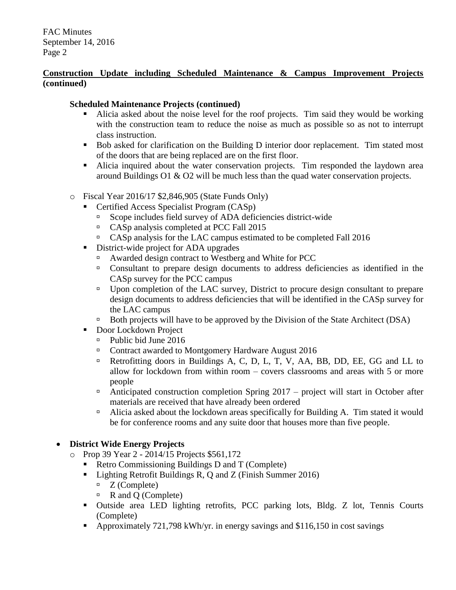## **Construction Update including Scheduled Maintenance & Campus Improvement Projects (continued)**

## **Scheduled Maintenance Projects (continued)**

- Alicia asked about the noise level for the roof projects. Tim said they would be working with the construction team to reduce the noise as much as possible so as not to interrupt class instruction.
- Bob asked for clarification on the Building D interior door replacement. Tim stated most of the doors that are being replaced are on the first floor.
- Alicia inquired about the water conservation projects. Tim responded the laydown area around Buildings O1 & O2 will be much less than the quad water conservation projects.
- o Fiscal Year 2016/17 \$2,846,905 (State Funds Only)
	- Certified Access Specialist Program (CASp)
		- Scope includes field survey of ADA deficiencies district-wide
		- CASp analysis completed at PCC Fall 2015
		- CASp analysis for the LAC campus estimated to be completed Fall 2016
	- District-wide project for ADA upgrades
		- Awarded design contract to Westberg and White for PCC
		- Consultant to prepare design documents to address deficiencies as identified in the CASp survey for the PCC campus
		- □ Upon completion of the LAC survey, District to procure design consultant to prepare design documents to address deficiencies that will be identified in the CASp survey for the LAC campus
		- Both projects will have to be approved by the Division of the State Architect (DSA)
	- Door Lockdown Project
		- Public bid June 2016
		- □ Contract awarded to Montgomery Hardware August 2016
		- <sup>In</sup> Retrofitting doors in Buildings A, C, D, L, T, V, AA, BB, DD, EE, GG and LL to allow for lockdown from within room – covers classrooms and areas with 5 or more people
		- Anticipated construction completion Spring  $2017$  project will start in October after materials are received that have already been ordered
		- Alicia asked about the lockdown areas specifically for Building A. Tim stated it would be for conference rooms and any suite door that houses more than five people.

# **District Wide Energy Projects**

- o Prop 39 Year 2 2014/15 Projects \$561,172
	- Retro Commissioning Buildings D and T (Complete)
	- **Lighting Retrofit Buildings R, Q and Z (Finish Summer 2016)** 
		- $Z$  (Complete)
		- $\Box$  R and Q (Complete)
	- Outside area LED lighting retrofits, PCC parking lots, Bldg. Z lot, Tennis Courts (Complete)
	- Approximately 721,798 kWh/yr. in energy savings and \$116,150 in cost savings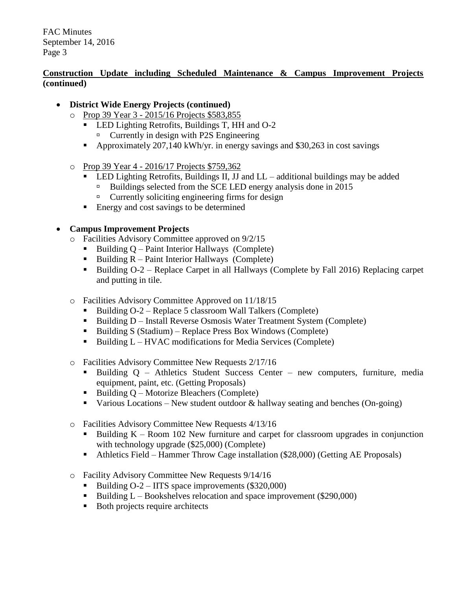## **Construction Update including Scheduled Maintenance & Campus Improvement Projects (continued)**

- **District Wide Energy Projects (continued)**
	- o Prop 39 Year 3 2015/16 Projects \$583,855
		- **LED Lighting Retrofits, Buildings T, HH and O-2**  $\Box$  Currently in design with P2S Engineering
		- Approximately 207,140 kWh/yr. in energy savings and \$30,263 in cost savings
		-
	- o Prop 39 Year 4 2016/17 Projects \$759,362
		- $\blacksquare$  LED Lighting Retrofits, Buildings II, JJ and LL additional buildings may be added
			- Buildings selected from the SCE LED energy analysis done in 2015
			- $\Box$  Currently soliciting engineering firms for design
		- Energy and cost savings to be determined

## **Campus Improvement Projects**

- o Facilities Advisory Committee approved on 9/2/15
	- Building  $Q$  Paint Interior Hallways (Complete)
	- Building  $R$  Paint Interior Hallways (Complete)
	- Building O-2 Replace Carpet in all Hallways (Complete by Fall 2016) Replacing carpet and putting in tile.
- o Facilities Advisory Committee Approved on 11/18/15
	- Building  $O-2$  Replace 5 classroom Wall Talkers (Complete)
	- Building D Install Reverse Osmosis Water Treatment System (Complete)
	- Building S (Stadium) Replace Press Box Windows (Complete)
	- $\blacksquare$  Building L HVAC modifications for Media Services (Complete)
- o Facilities Advisory Committee New Requests 2/17/16
	- Building Q Athletics Student Success Center new computers, furniture, media equipment, paint, etc. (Getting Proposals)
	- $\blacksquare$  Building Q Motorize Bleachers (Complete)
	- Various Locations New student outdoor  $\&$  hallway seating and benches (On-going)
- o Facilities Advisory Committee New Requests 4/13/16
	- Building  $K -$  Room 102 New furniture and carpet for classroom upgrades in conjunction with technology upgrade (\$25,000) (Complete)
	- Athletics Field Hammer Throw Cage installation (\$28,000) (Getting AE Proposals)
- o Facility Advisory Committee New Requests 9/14/16
	- Building  $O-2$  IITS space improvements (\$320,000)
	- Building  $L \text{Books}$  belocation and space improvement (\$290,000)
	- Both projects require architects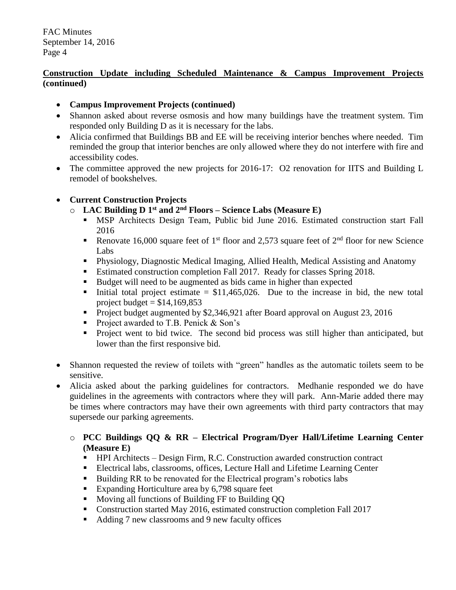## **Construction Update including Scheduled Maintenance & Campus Improvement Projects (continued)**

- **Campus Improvement Projects (continued)**
- Shannon asked about reverse osmosis and how many buildings have the treatment system. Tim responded only Building D as it is necessary for the labs.
- Alicia confirmed that Buildings BB and EE will be receiving interior benches where needed. Tim reminded the group that interior benches are only allowed where they do not interfere with fire and accessibility codes.
- The committee approved the new projects for 2016-17: O2 renovation for IITS and Building L remodel of bookshelves.

## **Current Construction Projects**

- o **LAC Building D 1 st and 2nd Floors – Science Labs (Measure E)**
	- MSP Architects Design Team, Public bid June 2016. Estimated construction start Fall 2016
	- Renovate 16,000 square feet of 1<sup>st</sup> floor and 2,573 square feet of  $2<sup>nd</sup>$  floor for new Science Labs
	- Physiology, Diagnostic Medical Imaging, Allied Health, Medical Assisting and Anatomy
	- Estimated construction completion Fall 2017. Ready for classes Spring 2018.
	- Budget will need to be augmented as bids came in higher than expected
	- Initial total project estimate =  $$11,465,026$ . Due to the increase in bid, the new total project budget  $= $14,169,853$
	- Project budget augmented by \$2,346,921 after Board approval on August 23, 2016
	- Project awarded to T.B. Penick & Son's
	- **Project went to bid twice.** The second bid process was still higher than anticipated, but lower than the first responsive bid.
- Shannon requested the review of toilets with "green" handles as the automatic toilets seem to be sensitive.
- Alicia asked about the parking guidelines for contractors. Medhanie responded we do have guidelines in the agreements with contractors where they will park. Ann-Marie added there may be times where contractors may have their own agreements with third party contractors that may supersede our parking agreements.
	- o **PCC Buildings QQ & RR – Electrical Program/Dyer Hall/Lifetime Learning Center (Measure E)**
		- HPI Architects Design Firm, R.C. Construction awarded construction contract
		- Electrical labs, classrooms, offices, Lecture Hall and Lifetime Learning Center
		- Building RR to be renovated for the Electrical program's robotics labs
		- Expanding Horticulture area by 6,798 square feet
		- **Moving all functions of Building FF to Building QQ**
		- Construction started May 2016, estimated construction completion Fall 2017
		- Adding 7 new classrooms and 9 new faculty offices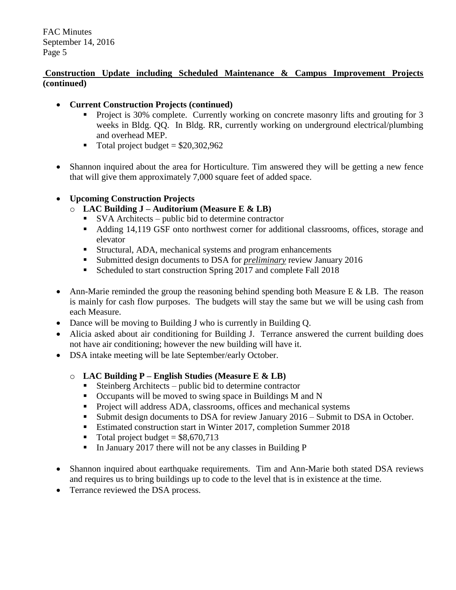## **Construction Update including Scheduled Maintenance & Campus Improvement Projects (continued)**

- **Current Construction Projects (continued)**
	- **Project is 30% complete. Currently working on concrete masonry lifts and grouting for 3** weeks in Bldg. QQ. In Bldg. RR, currently working on underground electrical/plumbing and overhead MEP.
	- $\blacksquare$  Total project budget = \$20,302,962
- Shannon inquired about the area for Horticulture. Tim answered they will be getting a new fence that will give them approximately 7,000 square feet of added space.

## **Upcoming Construction Projects**

- o **LAC Building J – Auditorium (Measure E & LB)**
	- SVA Architects public bid to determine contractor
	- Adding 14,119 GSF onto northwest corner for additional classrooms, offices, storage and elevator
	- Structural, ADA, mechanical systems and program enhancements
	- Submitted design documents to DSA for *preliminary* review January 2016
	- Scheduled to start construction Spring 2017 and complete Fall 2018
- Ann-Marie reminded the group the reasoning behind spending both Measure E & LB. The reason is mainly for cash flow purposes. The budgets will stay the same but we will be using cash from each Measure.
- Dance will be moving to Building J who is currently in Building Q.
- Alicia asked about air conditioning for Building J. Terrance answered the current building does not have air conditioning; however the new building will have it.
- DSA intake meeting will be late September/early October.

#### o **LAC Building P – English Studies (Measure E & LB)**

- Steinberg Architects public bid to determine contractor
- Occupants will be moved to swing space in Buildings M and N
- **Project will address ADA, classrooms, offices and mechanical systems**
- Submit design documents to DSA for review January 2016 Submit to DSA in October.
- Estimated construction start in Winter 2017, completion Summer 2018
- $\blacksquare$  Total project budget = \$8,670,713
- In January 2017 there will not be any classes in Building P
- Shannon inquired about earthquake requirements. Tim and Ann-Marie both stated DSA reviews and requires us to bring buildings up to code to the level that is in existence at the time.
- Terrance reviewed the DSA process.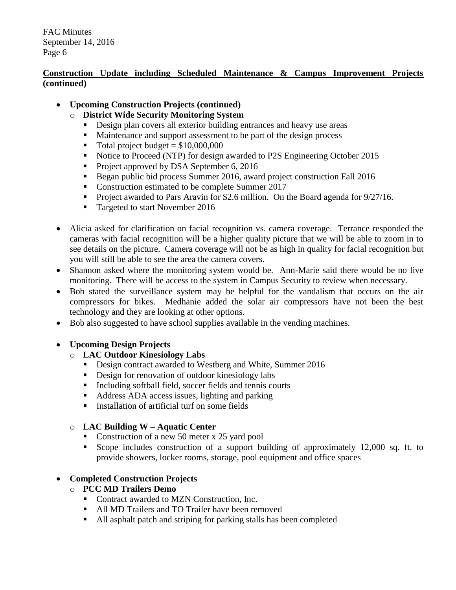## **Construction Update including Scheduled Maintenance & Campus Improvement Projects (continued)**

## **Upcoming Construction Projects (continued)**

- o **District Wide Security Monitoring System**
	- Design plan covers all exterior building entrances and heavy use areas
	- Maintenance and support assessment to be part of the design process
	- $\blacksquare$  Total project budget = \$10,000,000
	- Notice to Proceed (NTP) for design awarded to P2S Engineering October 2015
	- Project approved by DSA September 6, 2016
	- Began public bid process Summer 2016, award project construction Fall 2016
	- Construction estimated to be complete Summer 2017
	- Project awarded to Pars Aravin for \$2.6 million. On the Board agenda for 9/27/16.
	- Targeted to start November 2016
- Alicia asked for clarification on facial recognition vs. camera coverage. Terrance responded the cameras with facial recognition will be a higher quality picture that we will be able to zoom in to see details on the picture. Camera coverage will not be as high in quality for facial recognition but you will still be able to see the area the camera covers.
- Shannon asked where the monitoring system would be. Ann-Marie said there would be no live monitoring. There will be access to the system in Campus Security to review when necessary.
- Bob stated the surveillance system may be helpful for the vandalism that occurs on the air compressors for bikes. Medhanie added the solar air compressors have not been the best technology and they are looking at other options.
- Bob also suggested to have school supplies available in the vending machines.

# **Upcoming Design Projects**

# o **LAC Outdoor Kinesiology Labs**

- Design contract awarded to Westberg and White, Summer 2016
- Design for renovation of outdoor kinesiology labs
- Including softball field, soccer fields and tennis courts
- Address ADA access issues, lighting and parking
- Installation of artificial turf on some fields

# o **LAC Building W – Aquatic Center**

- Construction of a new 50 meter x 25 yard pool
- Scope includes construction of a support building of approximately 12,000 sq. ft. to provide showers, locker rooms, storage, pool equipment and office spaces

# **Completed Construction Projects**

- o **PCC MD Trailers Demo**
	- Contract awarded to MZN Construction, Inc.
	- All MD Trailers and TO Trailer have been removed
	- All asphalt patch and striping for parking stalls has been completed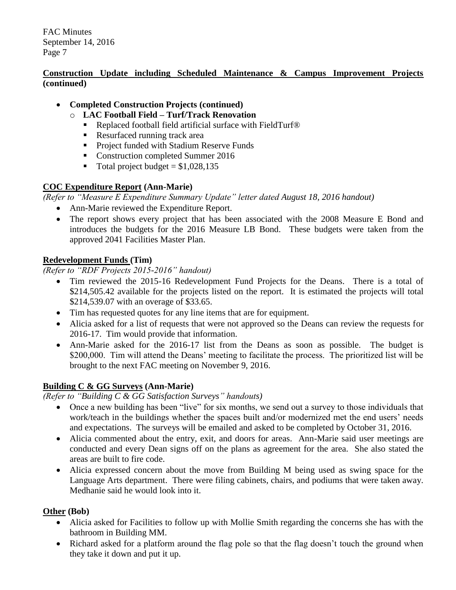## **Construction Update including Scheduled Maintenance & Campus Improvement Projects (continued)**

## **Completed Construction Projects (continued)**

- o **LAC Football Field – Turf/Track Renovation**
	- Replaced football field artificial surface with FieldTurf<sup>®</sup>
	- Resurfaced running track area
	- Project funded with Stadium Reserve Funds
	- Construction completed Summer 2016
	- $\blacksquare$  Total project budget = \$1,028,135

## **COC Expenditure Report (Ann-Marie)**

*(Refer to "Measure E Expenditure Summary Update" letter dated August 18, 2016 handout)*

- Ann-Marie reviewed the Expenditure Report.
- The report shows every project that has been associated with the 2008 Measure E Bond and introduces the budgets for the 2016 Measure LB Bond. These budgets were taken from the approved 2041 Facilities Master Plan.

## **Redevelopment Funds (Tim)**

*(Refer to "RDF Projects 2015-2016" handout)*

- Tim reviewed the 2015-16 Redevelopment Fund Projects for the Deans. There is a total of \$214,505.42 available for the projects listed on the report. It is estimated the projects will total \$214,539.07 with an overage of \$33.65.
- Tim has requested quotes for any line items that are for equipment.
- Alicia asked for a list of requests that were not approved so the Deans can review the requests for 2016-17. Tim would provide that information.
- Ann-Marie asked for the 2016-17 list from the Deans as soon as possible. The budget is \$200,000. Tim will attend the Deans' meeting to facilitate the process. The prioritized list will be brought to the next FAC meeting on November 9, 2016.

# **Building C & GG Surveys (Ann-Marie)**

*(Refer to "Building C & GG Satisfaction Surveys" handouts)*

- Once a new building has been "live" for six months, we send out a survey to those individuals that work/teach in the buildings whether the spaces built and/or modernized met the end users' needs and expectations. The surveys will be emailed and asked to be completed by October 31, 2016.
- Alicia commented about the entry, exit, and doors for areas. Ann-Marie said user meetings are conducted and every Dean signs off on the plans as agreement for the area. She also stated the areas are built to fire code.
- Alicia expressed concern about the move from Building M being used as swing space for the Language Arts department. There were filing cabinets, chairs, and podiums that were taken away. Medhanie said he would look into it.

# **Other (Bob)**

- Alicia asked for Facilities to follow up with Mollie Smith regarding the concerns she has with the bathroom in Building MM.
- Richard asked for a platform around the flag pole so that the flag doesn't touch the ground when they take it down and put it up.